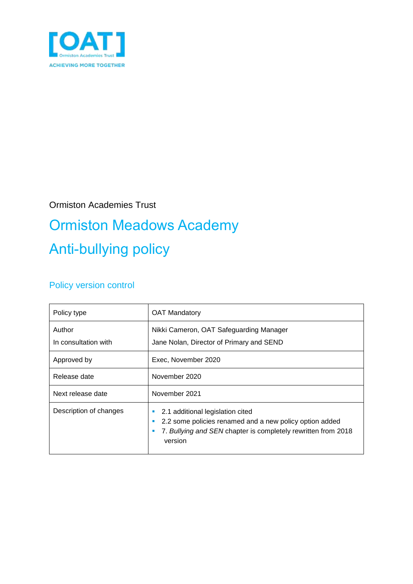

### Ormiston Academies Trust

# Ormiston Meadows Academy Anti-bullying policy

### Policy version control

| Policy type                    | <b>OAT Mandatory</b>                                                                                                                                                    |
|--------------------------------|-------------------------------------------------------------------------------------------------------------------------------------------------------------------------|
| Author<br>In consultation with | Nikki Cameron, OAT Safeguarding Manager<br>Jane Nolan, Director of Primary and SEND                                                                                     |
| Approved by                    | Exec, November 2020                                                                                                                                                     |
| Release date                   | November 2020                                                                                                                                                           |
| Next release date              | November 2021                                                                                                                                                           |
| Description of changes         | 2.1 additional legislation cited<br>2.2 some policies renamed and a new policy option added<br>7. Bullying and SEN chapter is completely rewritten from 2018<br>version |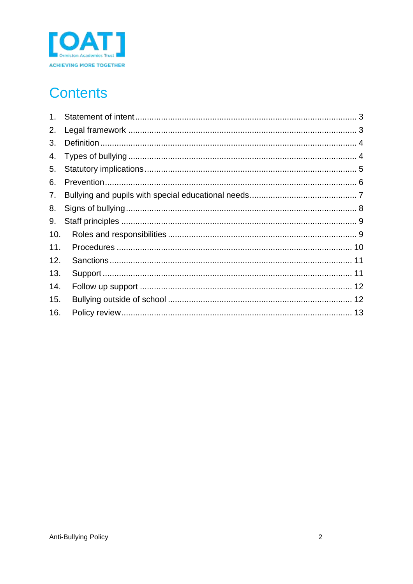

## **Contents**

| 1 <sub>1</sub> |  |
|----------------|--|
| 2.             |  |
| 3.             |  |
| 4.             |  |
| 5.             |  |
| 6.             |  |
| 7.             |  |
| 8.             |  |
| 9.             |  |
| 10.            |  |
| 11.            |  |
| 12.            |  |
| 13.            |  |
| 14.            |  |
| 15.            |  |
| 16.            |  |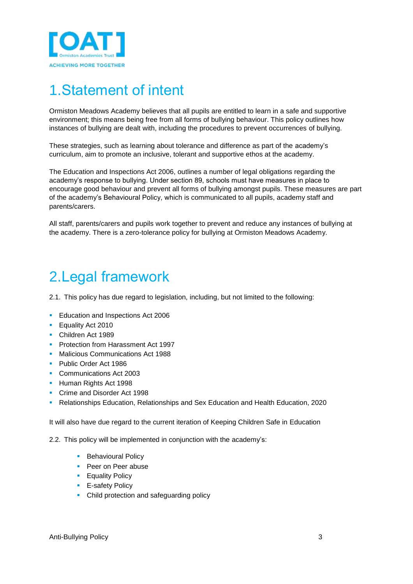

## <span id="page-2-0"></span>1.Statement of intent

Ormiston Meadows Academy believes that all pupils are entitled to learn in a safe and supportive environment; this means being free from all forms of bullying behaviour. This policy outlines how instances of bullying are dealt with, including the procedures to prevent occurrences of bullying.

These strategies, such as learning about tolerance and difference as part of the academy's curriculum, aim to promote an inclusive, tolerant and supportive ethos at the academy.

The Education and Inspections Act 2006, outlines a number of legal obligations regarding the academy's response to bullying. Under section 89, schools must have measures in place to encourage good behaviour and prevent all forms of bullying amongst pupils. These measures are part of the academy's Behavioural Policy, which is communicated to all pupils, academy staff and parents/carers.

All staff, parents/carers and pupils work together to prevent and reduce any instances of bullying at the academy. There is a zero-tolerance policy for bullying at Ormiston Meadows Academy.

### <span id="page-2-1"></span>2.Legal framework

2.1. This policy has due regard to legislation, including, but not limited to the following:

- **Education and Inspections Act 2006**
- **Equality Act 2010**
- **Children Act 1989**
- **Protection from Harassment Act 1997**
- **Malicious Communications Act 1988**
- **Public Order Act 1986**
- **Communications Act 2003**
- **Human Rights Act 1998**
- **Crime and Disorder Act 1998**
- Relationships Education, Relationships and Sex Education and Health Education, 2020

It will also have due regard to the current iteration of Keeping Children Safe in Education

2.2. This policy will be implemented in conjunction with the academy's:

- **Behavioural Policy**
- **Peer on Peer abuse**
- **Equality Policy**
- **E-safety Policy**
- **Child protection and safeguarding policy**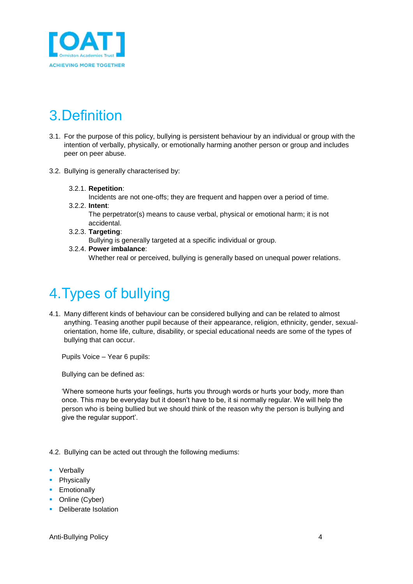

# <span id="page-3-0"></span>3.Definition

- 3.1. For the purpose of this policy, bullying is persistent behaviour by an individual or group with the intention of verbally, physically, or emotionally harming another person or group and includes peer on peer abuse.
- 3.2. Bullying is generally characterised by:

#### 3.2.1. **Repetition**:

Incidents are not one-offs; they are frequent and happen over a period of time. 3.2.2. **Intent**:

- The perpetrator(s) means to cause verbal, physical or emotional harm; it is not accidental.
- 3.2.3. **Targeting**: Bullying is generally targeted at a specific individual or group.
- 3.2.4. **Power imbalance**: Whether real or perceived, bullying is generally based on unequal power relations.

# <span id="page-3-1"></span>4.Types of bullying

4.1. Many different kinds of behaviour can be considered bullying and can be related to almost anything. Teasing another pupil because of their appearance, religion, ethnicity, gender, sexualorientation, home life, culture, disability, or special educational needs are some of the types of bullying that can occur.

Pupils Voice – Year 6 pupils:

Bullying can be defined as:

'Where someone hurts your feelings, hurts you through words or hurts your body, more than once. This may be everyday but it doesn't have to be, it si normally regular. We will help the person who is being bullied but we should think of the reason why the person is bullying and give the regular support'.

4.2. Bullying can be acted out through the following mediums:

- **•** Verbally
- Physically
- **Emotionally**
- Online (Cyber)
- **Deliberate Isolation**

Anti-Bullying Policy 4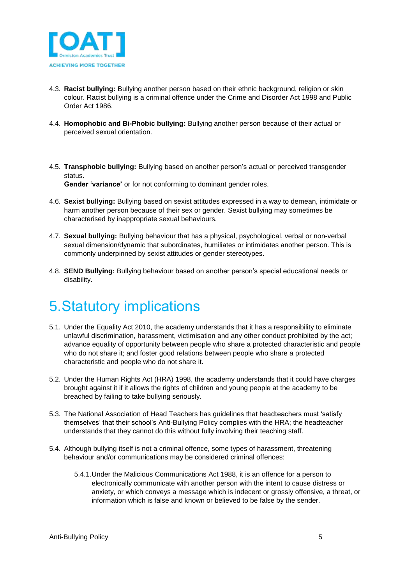

- 4.3. **Racist bullying:** Bullying another person based on their ethnic background, religion or skin colour. Racist bullying is a criminal offence under the Crime and Disorder Act 1998 and Public Order Act 1986.
- 4.4. **Homophobic and Bi-Phobic bullying:** Bullying another person because of their actual or perceived sexual orientation.
- 4.5. **Transphobic bullying:** Bullying based on another person's actual or perceived transgender status. **Gender 'variance'** or for not conforming to dominant gender roles.
- 4.6. **Sexist bullying:** Bullying based on sexist attitudes expressed in a way to demean, intimidate or harm another person because of their sex or gender. Sexist bullying may sometimes be characterised by inappropriate sexual behaviours.
- 4.7. **Sexual bullying:** Bullying behaviour that has a physical, psychological, verbal or non-verbal sexual dimension/dynamic that subordinates, humiliates or intimidates another person. This is commonly underpinned by sexist attitudes or gender stereotypes.
- 4.8. **SEND Bullying:** Bullying behaviour based on another person's special educational needs or disability.

### <span id="page-4-0"></span>5.Statutory implications

- 5.1. Under the Equality Act 2010, the academy understands that it has a responsibility to eliminate unlawful discrimination, harassment, victimisation and any other conduct prohibited by the act; advance equality of opportunity between people who share a protected characteristic and people who do not share it; and foster good relations between people who share a protected characteristic and people who do not share it.
- 5.2. Under the Human Rights Act (HRA) 1998, the academy understands that it could have charges brought against it if it allows the rights of children and young people at the academy to be breached by failing to take bullying seriously.
- 5.3. The National Association of Head Teachers has guidelines that headteachers must 'satisfy themselves' that their school's Anti-Bullying Policy complies with the HRA; the headteacher understands that they cannot do this without fully involving their teaching staff.
- 5.4. Although bullying itself is not a criminal offence, some types of harassment, threatening behaviour and/or communications may be considered criminal offences:
	- 5.4.1.Under the Malicious Communications Act 1988, it is an offence for a person to electronically communicate with another person with the intent to cause distress or anxiety, or which conveys a message which is indecent or grossly offensive, a threat, or information which is false and known or believed to be false by the sender.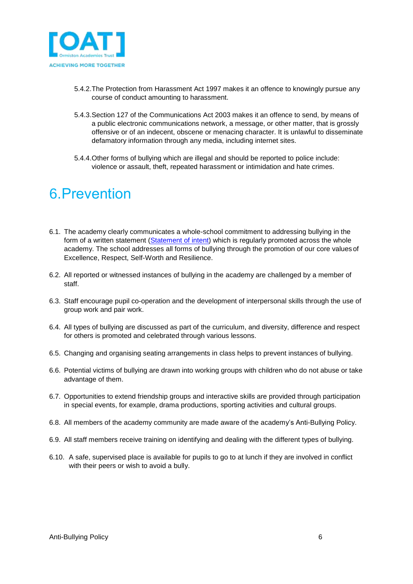

- 5.4.2.The Protection from Harassment Act 1997 makes it an offence to knowingly pursue any course of conduct amounting to harassment.
- 5.4.3.Section 127 of the Communications Act 2003 makes it an offence to send, by means of a public electronic communications network, a message, or other matter, that is grossly offensive or of an indecent, obscene or menacing character. It is unlawful to disseminate defamatory information through any media, including internet sites.
- 5.4.4.Other forms of bullying which are illegal and should be reported to police include: violence or assault, theft, repeated harassment or intimidation and hate crimes.

### <span id="page-5-0"></span>6.Prevention

- 6.1. The academy clearly communicates a whole-school commitment to addressing bullying in the form of a written statement (Statement of intent) which is regularly promoted across the whole academy. The school addresses all forms of bullying through the promotion of our core values of Excellence, Respect, Self-Worth and Resilience.
- 6.2. All reported or witnessed instances of bullying in the academy are challenged by a member of staff.
- 6.3. Staff encourage pupil co-operation and the development of interpersonal skills through the use of group work and pair work.
- 6.4. All types of bullying are discussed as part of the curriculum, and diversity, difference and respect for others is promoted and celebrated through various lessons.
- 6.5. Changing and organising seating arrangements in class helps to prevent instances of bullying.
- 6.6. Potential victims of bullying are drawn into working groups with children who do not abuse or take advantage of them.
- 6.7. Opportunities to extend friendship groups and interactive skills are provided through participation in special events, for example, drama productions, sporting activities and cultural groups.
- 6.8. All members of the academy community are made aware of the academy's Anti-Bullying Policy.
- 6.9. All staff members receive training on identifying and dealing with the different types of bullying.
- 6.10. A safe, supervised place is available for pupils to go to at lunch if they are involved in conflict with their peers or wish to avoid a bully.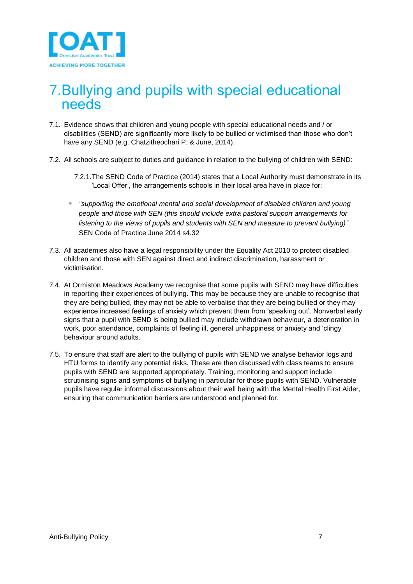

### <span id="page-6-0"></span>7.Bullying and pupils with special educational needs

- 7.1. Evidence shows that children and young people with special educational needs and / or disabilities (SEND) are significantly more likely to be bullied or victimised than those who don't have any SEND (e.g. Chatzitheochari P. & June, 2014).
- 7.2. All schools are subject to duties and guidance in relation to the bullying of children with SEND:
	- 7.2.1.The SEND Code of Practice (2014) states that a Local Authority must demonstrate in its 'Local Offer', the arrangements schools in their local area have in place for:
	- *"supporting the emotional mental and social development of disabled children and young people and those with SEN (this should include extra pastoral support arrangements for listening to the views of pupils and students with SEN and measure to prevent bullying)"* SEN Code of Practice June 2014 s4.32
- 7.3. All academies also have a legal responsibility under the Equality Act 2010 to protect disabled children and those with SEN against direct and indirect discrimination, harassment or victimisation.
- 7.4. At Ormiston Meadows Academy we recognise that some pupils with SEND may have difficulties in reporting their experiences of bullying. This may be because they are unable to recognise that they are being bullied, they may not be able to verbalise that they are being bullied or they may experience increased feelings of anxiety which prevent them from 'speaking out'. Nonverbal early signs that a pupil with SEND is being bullied may include withdrawn behaviour, a deterioration in work, poor attendance, complaints of feeling ill, general unhappiness or anxiety and 'clingy' behaviour around adults.
- 7.5. To ensure that staff are alert to the bullying of pupils with SEND we analyse behavior logs and HTU forms to identify any potential risks. These are then discussed with class teams to ensure pupils with SEND are supported appropriately. Training, monitoring and support include scrutinising signs and symptoms of bullying in particular for those pupils with SEND. Vulnerable pupils have regular informal discussions about their well being with the Mental Health First Aider, ensuring that communication barriers are understood and planned for.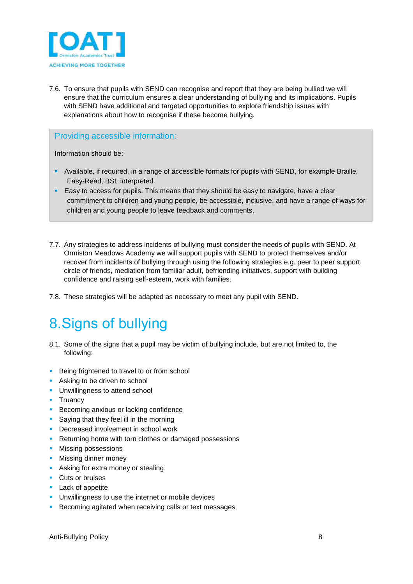

7.6. To ensure that pupils with SEND can recognise and report that they are being bullied we will ensure that the curriculum ensures a clear understanding of bullying and its implications. Pupils with SEND have additional and targeted opportunities to explore friendship issues with explanations about how to recognise if these become bullying.

#### Providing accessible information:

Information should be:

- Available, if required, in a range of accessible formats for pupils with SEND, for example Braille, Easy-Read, BSL interpreted.
- **Easy to access for pupils. This means that they should be easy to navigate, have a clear** commitment to children and young people, be accessible, inclusive, and have a range of ways for children and young people to leave feedback and comments.
- 7.7. Any strategies to address incidents of bullying must consider the needs of pupils with SEND. At Ormiston Meadows Academy we will support pupils with SEND to protect themselves and/or recover from incidents of bullying through using the following strategies e.g. peer to peer support, circle of friends, mediation from familiar adult, befriending initiatives, support with building confidence and raising self-esteem, work with families.
- 7.8. These strategies will be adapted as necessary to meet any pupil with SEND.

### <span id="page-7-0"></span>8.Signs of bullying

- 8.1. Some of the signs that a pupil may be victim of bullying include, but are not limited to, the following:
- **Being frightened to travel to or from school**
- Asking to be driven to school
- **-** Unwillingness to attend school
- **Truancy**
- **Becoming anxious or lacking confidence**
- **Saying that they feel ill in the morning**
- Decreased involvement in school work
- **Returning home with torn clothes or damaged possessions**
- **Missing possessions**
- **Missing dinner money**
- **Asking for extra money or stealing**
- **Cuts or bruises**
- **Lack of appetite**
- **Unwillingness to use the internet or mobile devices**
- **Becoming agitated when receiving calls or text messages**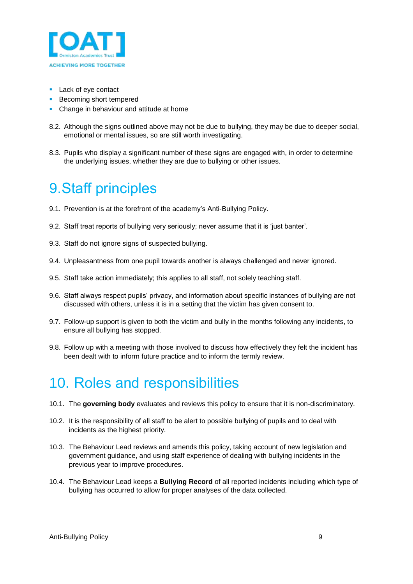

- **Lack of eye contact**
- **Becoming short tempered**
- **Change in behaviour and attitude at home**
- 8.2. Although the signs outlined above may not be due to bullying, they may be due to deeper social, emotional or mental issues, so are still worth investigating.
- 8.3. Pupils who display a significant number of these signs are engaged with, in order to determine the underlying issues, whether they are due to bullying or other issues.

### <span id="page-8-0"></span>9.Staff principles

- 9.1. Prevention is at the forefront of the academy's Anti-Bullying Policy.
- 9.2. Staff treat reports of bullying very seriously; never assume that it is 'just banter'.
- 9.3. Staff do not ignore signs of suspected bullying.
- 9.4. Unpleasantness from one pupil towards another is always challenged and never ignored.
- 9.5. Staff take action immediately; this applies to all staff, not solely teaching staff.
- 9.6. Staff always respect pupils' privacy, and information about specific instances of bullying are not discussed with others, unless it is in a setting that the victim has given consent to.
- 9.7. Follow-up support is given to both the victim and bully in the months following any incidents, to ensure all bullying has stopped.
- 9.8. Follow up with a meeting with those involved to discuss how effectively they felt the incident has been dealt with to inform future practice and to inform the termly review.

### <span id="page-8-1"></span>10. Roles and responsibilities

- 10.1. The **governing body** evaluates and reviews this policy to ensure that it is non-discriminatory.
- 10.2. It is the responsibility of all staff to be alert to possible bullying of pupils and to deal with incidents as the highest priority.
- 10.3. The Behaviour Lead reviews and amends this policy, taking account of new legislation and government guidance, and using staff experience of dealing with bullying incidents in the previous year to improve procedures.
- 10.4. The Behaviour Lead keeps a **Bullying Record** of all reported incidents including which type of bullying has occurred to allow for proper analyses of the data collected.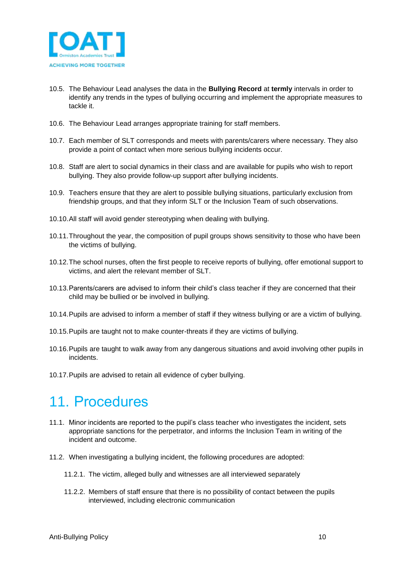

- 10.5. The Behaviour Lead analyses the data in the **Bullying Record** at **termly** intervals in order to identify any trends in the types of bullying occurring and implement the appropriate measures to tackle it.
- 10.6. The Behaviour Lead arranges appropriate training for staff members.
- 10.7. Each member of SLT corresponds and meets with parents/carers where necessary. They also provide a point of contact when more serious bullying incidents occur.
- 10.8. Staff are alert to social dynamics in their class and are available for pupils who wish to report bullying. They also provide follow-up support after bullying incidents.
- 10.9. Teachers ensure that they are alert to possible bullying situations, particularly exclusion from friendship groups, and that they inform SLT or the Inclusion Team of such observations.
- 10.10.All staff will avoid gender stereotyping when dealing with bullying.
- 10.11.Throughout the year, the composition of pupil groups shows sensitivity to those who have been the victims of bullying.
- 10.12.The school nurses, often the first people to receive reports of bullying, offer emotional support to victims, and alert the relevant member of SLT.
- 10.13.Parents/carers are advised to inform their child's class teacher if they are concerned that their child may be bullied or be involved in bullying.
- 10.14.Pupils are advised to inform a member of staff if they witness bullying or are a victim of bullying.
- 10.15.Pupils are taught not to make counter-threats if they are victims of bullying.
- 10.16.Pupils are taught to walk away from any dangerous situations and avoid involving other pupils in incidents.
- 10.17.Pupils are advised to retain all evidence of cyber bullying.

### <span id="page-9-0"></span>11. Procedures

- 11.1. Minor incidents are reported to the pupil's class teacher who investigates the incident, sets appropriate sanctions for the perpetrator, and informs the Inclusion Team in writing of the incident and outcome.
- 11.2. When investigating a bullying incident, the following procedures are adopted:
	- 11.2.1. The victim, alleged bully and witnesses are all interviewed separately
	- 11.2.2. Members of staff ensure that there is no possibility of contact between the pupils interviewed, including electronic communication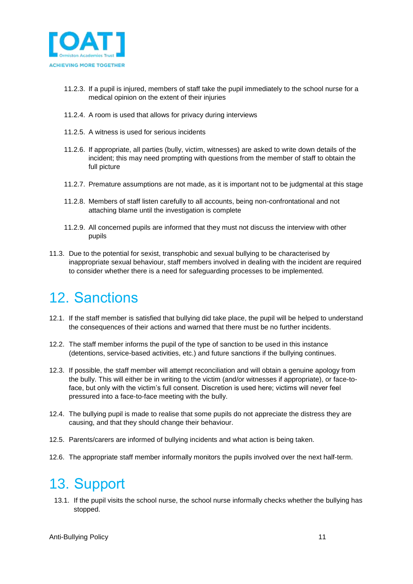

- 11.2.3. If a pupil is injured, members of staff take the pupil immediately to the school nurse for a medical opinion on the extent of their injuries
- 11.2.4. A room is used that allows for privacy during interviews
- 11.2.5. A witness is used for serious incidents
- 11.2.6. If appropriate, all parties (bully, victim, witnesses) are asked to write down details of the incident; this may need prompting with questions from the member of staff to obtain the full picture
- 11.2.7. Premature assumptions are not made, as it is important not to be judgmental at this stage
- 11.2.8. Members of staff listen carefully to all accounts, being non-confrontational and not attaching blame until the investigation is complete
- 11.2.9. All concerned pupils are informed that they must not discuss the interview with other pupils
- 11.3. Due to the potential for sexist, transphobic and sexual bullying to be characterised by inappropriate sexual behaviour, staff members involved in dealing with the incident are required to consider whether there is a need for safeguarding processes to be implemented.

### <span id="page-10-0"></span>12. Sanctions

- 12.1. If the staff member is satisfied that bullying did take place, the pupil will be helped to understand the consequences of their actions and warned that there must be no further incidents.
- 12.2. The staff member informs the pupil of the type of sanction to be used in this instance (detentions, service-based activities, etc.) and future sanctions if the bullying continues.
- 12.3. If possible, the staff member will attempt reconciliation and will obtain a genuine apology from the bully. This will either be in writing to the victim (and/or witnesses if appropriate), or face-toface, but only with the victim's full consent. Discretion is used here; victims will never feel pressured into a face-to-face meeting with the bully.
- 12.4. The bullying pupil is made to realise that some pupils do not appreciate the distress they are causing, and that they should change their behaviour.
- 12.5. Parents/carers are informed of bullying incidents and what action is being taken.
- 12.6. The appropriate staff member informally monitors the pupils involved over the next half-term.

### <span id="page-10-1"></span>13. Support

13.1. If the pupil visits the school nurse, the school nurse informally checks whether the bullying has stopped.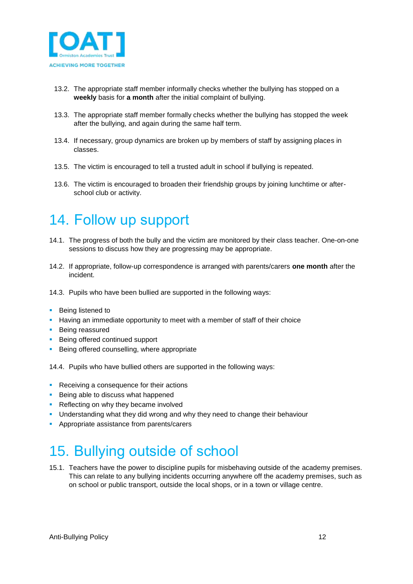

- 13.2. The appropriate staff member informally checks whether the bullying has stopped on a **weekly** basis for **a month** after the initial complaint of bullying.
- 13.3. The appropriate staff member formally checks whether the bullying has stopped the week after the bullying, and again during the same half term.
- 13.4. If necessary, group dynamics are broken up by members of staff by assigning places in classes.
- 13.5. The victim is encouraged to tell a trusted adult in school if bullying is repeated.
- 13.6. The victim is encouraged to broaden their friendship groups by joining lunchtime or afterschool club or activity.

### <span id="page-11-0"></span>14. Follow up support

- 14.1. The progress of both the bully and the victim are monitored by their class teacher. One-on-one sessions to discuss how they are progressing may be appropriate.
- 14.2. If appropriate, follow-up correspondence is arranged with parents/carers **one month** after the incident.
- 14.3. Pupils who have been bullied are supported in the following ways:
- **Being listened to**
- **Having an immediate opportunity to meet with a member of staff of their choice**
- **Being reassured**
- **Being offered continued support**
- **Being offered counselling, where appropriate**

14.4. Pupils who have bullied others are supported in the following ways:

- Receiving a consequence for their actions
- **Being able to discuss what happened**
- Reflecting on why they became involved
- Understanding what they did wrong and why they need to change their behaviour
- **Appropriate assistance from parents/carers**

### <span id="page-11-1"></span>15. Bullying outside of school

15.1. Teachers have the power to discipline pupils for misbehaving outside of the academy premises. This can relate to any bullying incidents occurring anywhere off the academy premises, such as on school or public transport, outside the local shops, or in a town or village centre.